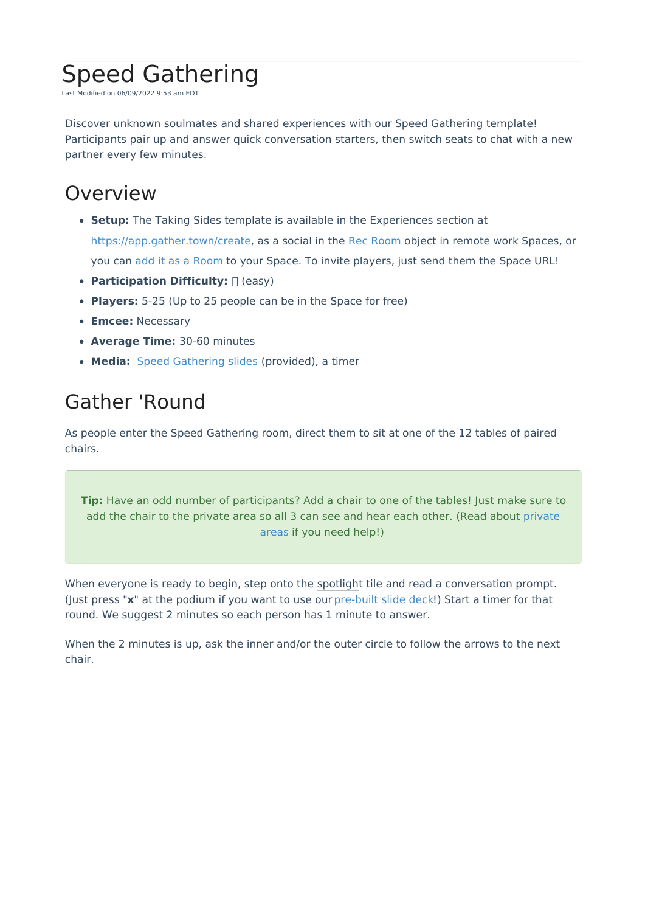## Speed Gathering

Last Modified on 06/09/2022 9:53 am EDT

Discover unknown soulmates and shared experiences with our Speed Gathering template! Participants pair up and answer quick conversation starters, then switch seats to chat with a new partner every few minutes.

## **Overview**

- **Setup:** The Taking Sides template is available in the Experiences section at <https://app.gather.town/create>, as a social in the Rec [Room](https://support.gather.town/help/rec-room) object in remote work Spaces, or you can add it as a [Room](http://support.gather.town/help/adding-a-room) to your Space. To invite players, just send them the Space URL!
- **Participation Difficulty:**  $\Box$  (easy)
- **Players:** 5-25 (Up to 25 people can be in the Space for free)
- **Emcee:** Necessary
- **Average Time:** 30-60 minutes
- **Media:** Speed [Gathering](https://docs.google.com/presentation/d/1yGhPLIRhAKZPFxdNpT425AMHkVIbqjuOnvb25FzwrP4/edit?usp=sharing) slides (provided), a timer

## Gather 'Round

As people enter the Speed Gathering room, direct them to sit at one of the 12 tables of paired chairs.

**Tip:** Have an odd number of participants? Add a chair to one of the tables! Just make sure to add the chair to the private area so all 3 can see and hear each other. (Read about [private](http://support.gather.town/help/private-spaces) areas if you need help!)

When everyone is ready to begin, step onto the spotlight tile and read a conversation prompt. (Just press "**x**" at the podium if you want to use our [pre-built](https://docs.google.com/presentation/d/1yGhPLIRhAKZPFxdNpT425AMHkVIbqjuOnvb25FzwrP4/edit?usp=sharing) slide deck!) Start a timer for that round. We suggest 2 minutes so each person has 1 minute to answer.

When the 2 minutes is up, ask the inner and/or the outer circle to follow the arrows to the next chair.